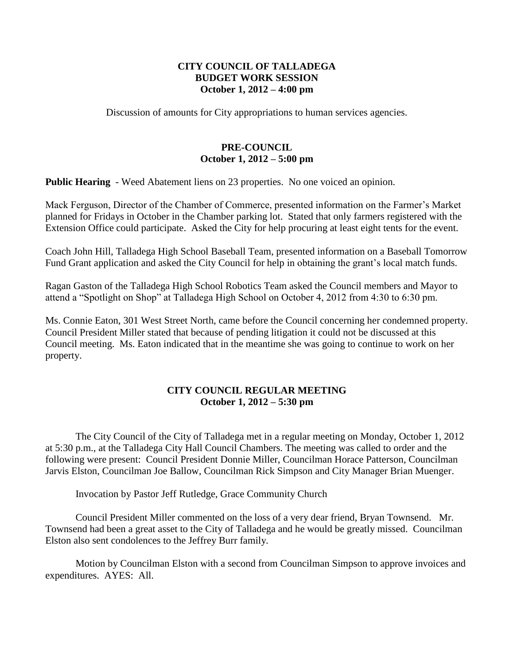## **CITY COUNCIL OF TALLADEGA BUDGET WORK SESSION October 1, 2012 – 4:00 pm**

Discussion of amounts for City appropriations to human services agencies.

# **PRE-COUNCIL October 1, 2012 – 5:00 pm**

**Public Hearing** - Weed Abatement liens on 23 properties. No one voiced an opinion.

Mack Ferguson, Director of the Chamber of Commerce, presented information on the Farmer's Market planned for Fridays in October in the Chamber parking lot. Stated that only farmers registered with the Extension Office could participate. Asked the City for help procuring at least eight tents for the event.

Coach John Hill, Talladega High School Baseball Team, presented information on a Baseball Tomorrow Fund Grant application and asked the City Council for help in obtaining the grant's local match funds.

Ragan Gaston of the Talladega High School Robotics Team asked the Council members and Mayor to attend a "Spotlight on Shop" at Talladega High School on October 4, 2012 from 4:30 to 6:30 pm.

Ms. Connie Eaton, 301 West Street North, came before the Council concerning her condemned property. Council President Miller stated that because of pending litigation it could not be discussed at this Council meeting. Ms. Eaton indicated that in the meantime she was going to continue to work on her property.

## **CITY COUNCIL REGULAR MEETING October 1, 2012 – 5:30 pm**

The City Council of the City of Talladega met in a regular meeting on Monday, October 1, 2012 at 5:30 p.m., at the Talladega City Hall Council Chambers. The meeting was called to order and the following were present: Council President Donnie Miller, Councilman Horace Patterson, Councilman Jarvis Elston, Councilman Joe Ballow, Councilman Rick Simpson and City Manager Brian Muenger.

Invocation by Pastor Jeff Rutledge, Grace Community Church

Council President Miller commented on the loss of a very dear friend, Bryan Townsend. Mr. Townsend had been a great asset to the City of Talladega and he would be greatly missed. Councilman Elston also sent condolences to the Jeffrey Burr family.

Motion by Councilman Elston with a second from Councilman Simpson to approve invoices and expenditures. AYES: All.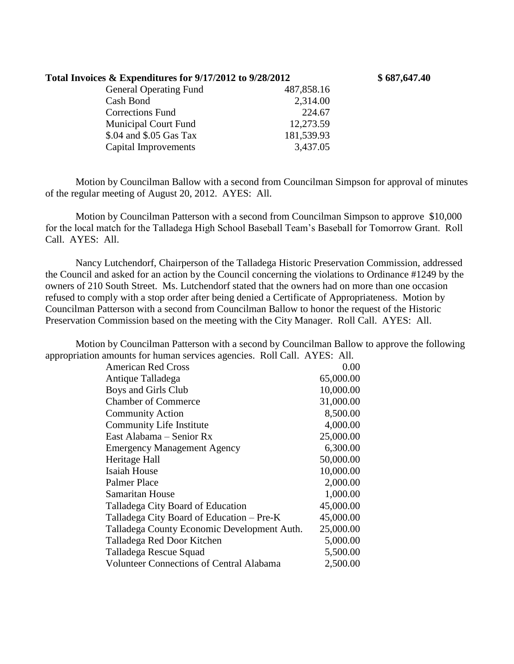#### **Total Invoices & Expenditures for 9/17/2012 to 9/28/2012 \$ 687,647.40**

| <b>General Operating Fund</b> | 487,858.16 |
|-------------------------------|------------|
| Cash Bond                     | 2,314.00   |
| <b>Corrections Fund</b>       | 224.67     |
| <b>Municipal Court Fund</b>   | 12,273.59  |
| \$.04 and \$.05 Gas Tax       | 181,539.93 |
| Capital Improvements          | 3,437.05   |
|                               |            |

Motion by Councilman Ballow with a second from Councilman Simpson for approval of minutes of the regular meeting of August 20, 2012. AYES: All.

Motion by Councilman Patterson with a second from Councilman Simpson to approve \$10,000 for the local match for the Talladega High School Baseball Team's Baseball for Tomorrow Grant. Roll Call. AYES: All.

Nancy Lutchendorf, Chairperson of the Talladega Historic Preservation Commission, addressed the Council and asked for an action by the Council concerning the violations to Ordinance #1249 by the owners of 210 South Street. Ms. Lutchendorf stated that the owners had on more than one occasion refused to comply with a stop order after being denied a Certificate of Appropriateness. Motion by Councilman Patterson with a second from Councilman Ballow to honor the request of the Historic Preservation Commission based on the meeting with the City Manager. Roll Call. AYES: All.

Motion by Councilman Patterson with a second by Councilman Ballow to approve the following appropriation amounts for human services agencies. Roll Call. AYES: All.

| <b>American Red Cross</b>                       | 0.00      |
|-------------------------------------------------|-----------|
| Antique Talladega                               | 65,000.00 |
| Boys and Girls Club                             | 10,000.00 |
| <b>Chamber of Commerce</b>                      | 31,000.00 |
| <b>Community Action</b>                         | 8,500.00  |
| <b>Community Life Institute</b>                 | 4,000.00  |
| East Alabama – Senior Rx                        | 25,000.00 |
| <b>Emergency Management Agency</b>              | 6,300.00  |
| Heritage Hall                                   | 50,000.00 |
| Isaiah House                                    | 10,000.00 |
| <b>Palmer Place</b>                             | 2,000.00  |
| Samaritan House                                 | 1,000.00  |
| Talladega City Board of Education               | 45,000.00 |
| Talladega City Board of Education – Pre-K       | 45,000.00 |
| Talladega County Economic Development Auth.     | 25,000.00 |
| Talladega Red Door Kitchen                      | 5,000.00  |
| Talladega Rescue Squad                          | 5,500.00  |
| <b>Volunteer Connections of Central Alabama</b> | 2,500.00  |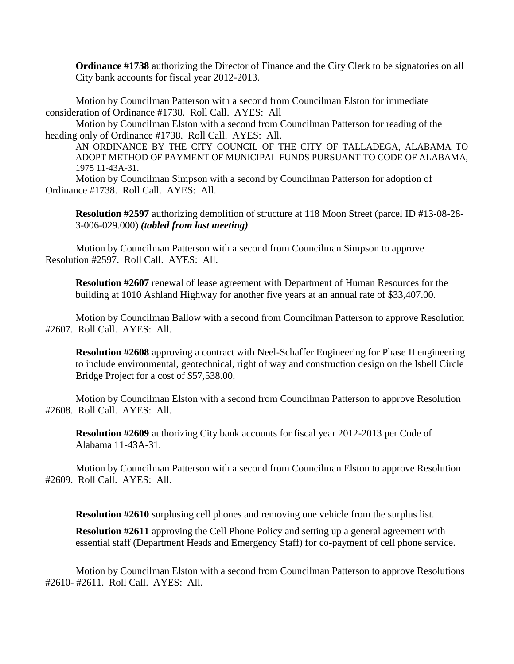**Ordinance #1738** authorizing the Director of Finance and the City Clerk to be signatories on all City bank accounts for fiscal year 2012-2013.

Motion by Councilman Patterson with a second from Councilman Elston for immediate consideration of Ordinance #1738. Roll Call. AYES: All

Motion by Councilman Elston with a second from Councilman Patterson for reading of the heading only of Ordinance #1738. Roll Call. AYES: All.

AN ORDINANCE BY THE CITY COUNCIL OF THE CITY OF TALLADEGA, ALABAMA TO ADOPT METHOD OF PAYMENT OF MUNICIPAL FUNDS PURSUANT TO CODE OF ALABAMA, 1975 11-43A-31.

Motion by Councilman Simpson with a second by Councilman Patterson for adoption of Ordinance #1738. Roll Call. AYES: All.

**Resolution #2597** authorizing demolition of structure at 118 Moon Street (parcel ID #13-08-28-3-006-029.000) *(tabled from last meeting)*

Motion by Councilman Patterson with a second from Councilman Simpson to approve Resolution #2597. Roll Call. AYES: All.

**Resolution #2607** renewal of lease agreement with Department of Human Resources for the building at 1010 Ashland Highway for another five years at an annual rate of \$33,407.00.

Motion by Councilman Ballow with a second from Councilman Patterson to approve Resolution #2607. Roll Call. AYES: All.

**Resolution #2608** approving a contract with Neel-Schaffer Engineering for Phase II engineering to include environmental, geotechnical, right of way and construction design on the Isbell Circle Bridge Project for a cost of \$57,538.00.

Motion by Councilman Elston with a second from Councilman Patterson to approve Resolution #2608. Roll Call. AYES: All.

**Resolution #2609** authorizing City bank accounts for fiscal year 2012-2013 per Code of Alabama 11-43A-31.

Motion by Councilman Patterson with a second from Councilman Elston to approve Resolution #2609. Roll Call. AYES: All.

**Resolution #2610** surplusing cell phones and removing one vehicle from the surplus list.

**Resolution #2611** approving the Cell Phone Policy and setting up a general agreement with essential staff (Department Heads and Emergency Staff) for co-payment of cell phone service.

Motion by Councilman Elston with a second from Councilman Patterson to approve Resolutions #2610- #2611. Roll Call. AYES: All.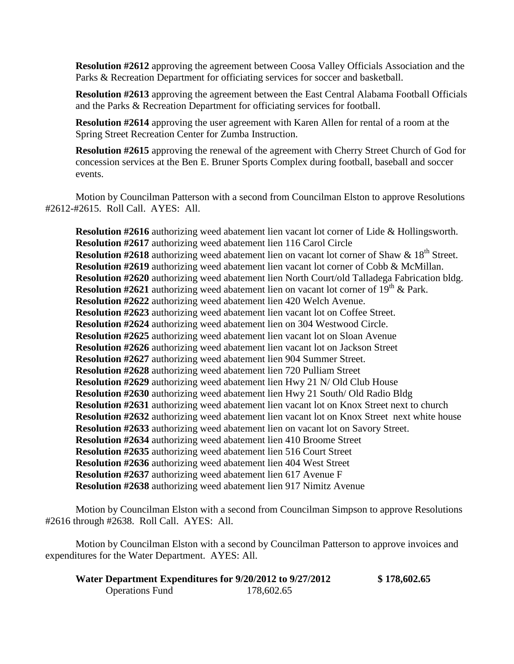**Resolution #2612** approving the agreement between Coosa Valley Officials Association and the Parks & Recreation Department for officiating services for soccer and basketball.

**Resolution #2613** approving the agreement between the East Central Alabama Football Officials and the Parks & Recreation Department for officiating services for football.

**Resolution #2614** approving the user agreement with Karen Allen for rental of a room at the Spring Street Recreation Center for Zumba Instruction.

**Resolution #2615** approving the renewal of the agreement with Cherry Street Church of God for concession services at the Ben E. Bruner Sports Complex during football, baseball and soccer events.

Motion by Councilman Patterson with a second from Councilman Elston to approve Resolutions #2612-#2615. Roll Call. AYES: All.

**Resolution #2616** authorizing weed abatement lien vacant lot corner of Lide & Hollingsworth. **Resolution #2617** authorizing weed abatement lien 116 Carol Circle **Resolution #2618** authorizing weed abatement lien on vacant lot corner of Shaw & 18<sup>th</sup> Street. **Resolution #2619** authorizing weed abatement lien vacant lot corner of Cobb & McMillan. **Resolution #2620** authorizing weed abatement lien North Court/old Talladega Fabrication bldg. **Resolution #2621** authorizing weed abatement lien on vacant lot corner of  $19<sup>th</sup>$  & Park. **Resolution #2622** authorizing weed abatement lien 420 Welch Avenue. **Resolution #2623** authorizing weed abatement lien vacant lot on Coffee Street. **Resolution #2624** authorizing weed abatement lien on 304 Westwood Circle. **Resolution #2625** authorizing weed abatement lien vacant lot on Sloan Avenue **Resolution #2626** authorizing weed abatement lien vacant lot on Jackson Street **Resolution #2627** authorizing weed abatement lien 904 Summer Street. **Resolution #2628** authorizing weed abatement lien 720 Pulliam Street **Resolution #2629** authorizing weed abatement lien Hwy 21 N/ Old Club House **Resolution #2630** authorizing weed abatement lien Hwy 21 South/ Old Radio Bldg **Resolution #2631** authorizing weed abatement lien vacant lot on Knox Street next to church **Resolution #2632** authorizing weed abatement lien vacant lot on Knox Street next white house **Resolution #2633** authorizing weed abatement lien on vacant lot on Savory Street. **Resolution #2634** authorizing weed abatement lien 410 Broome Street **Resolution #2635** authorizing weed abatement lien 516 Court Street **Resolution #2636** authorizing weed abatement lien 404 West Street **Resolution #2637** authorizing weed abatement lien 617 Avenue F **Resolution #2638** authorizing weed abatement lien 917 Nimitz Avenue

Motion by Councilman Elston with a second from Councilman Simpson to approve Resolutions #2616 through #2638. Roll Call. AYES: All.

Motion by Councilman Elston with a second by Councilman Patterson to approve invoices and expenditures for the Water Department. AYES: All.

| Water Department Expenditures for 9/20/2012 to 9/27/2012 |            | \$178,602.65 |
|----------------------------------------------------------|------------|--------------|
| <b>Operations Fund</b>                                   | 178,602.65 |              |